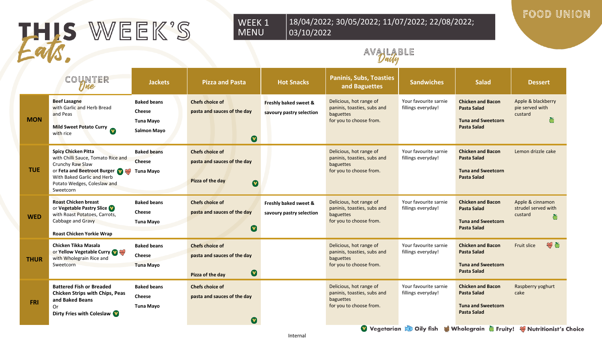# THIS WEEK'S als.

#### WEEK 1 18/04/2022; 30/05/2022; 11/07/2022; 22/08/2022; 03/10/2022

#### FOOD UNION

### AVAILABLE

|             | COUNTER                                                                                                                                                                                           | <b>Jackets</b>                                                         | <b>Pizza and Pasta</b>                                                                           | <b>Hot Snacks</b>                                 | <b>Paninis, Subs, Toasties</b><br>and Baguettes                                                | <b>Sandwiches</b>                                                                                                    | <b>Salad</b>                                                                                      | <b>Dessert</b>                                        |
|-------------|---------------------------------------------------------------------------------------------------------------------------------------------------------------------------------------------------|------------------------------------------------------------------------|--------------------------------------------------------------------------------------------------|---------------------------------------------------|------------------------------------------------------------------------------------------------|----------------------------------------------------------------------------------------------------------------------|---------------------------------------------------------------------------------------------------|-------------------------------------------------------|
| <b>MON</b>  | <b>Beef Lasagne</b><br>with Garlic and Herb Bread<br>and Peas<br>Mild Sweet Potato Curry<br>with rice                                                                                             | <b>Baked beans</b><br><b>Cheese</b><br>Tuna Mayo<br><b>Salmon Mayo</b> | <b>Chefs choice of</b><br>pasta and sauces of the day<br>$\boldsymbol{\Omega}$                   | Freshly baked sweet &<br>savoury pastry selection | Delicious, hot range of<br>paninis, toasties, subs and<br>baguettes<br>for you to choose from. | Your favourite sarnie<br>fillings everyday!                                                                          | <b>Chicken and Bacon</b><br><b>Pasta Salad</b><br><b>Tuna and Sweetcorn</b><br><b>Pasta Salad</b> | Apple & blackberry<br>pie served with<br>custard<br>Ŏ |
| <b>TUE</b>  | <b>Spicy Chicken Pitta</b><br>with Chilli Sauce, Tomato Rice and<br>Crunchy Raw Slaw<br>or Feta and Beetroot Burger (V)<br>With Baked Garlic and Herb<br>Potato Wedges, Coleslaw and<br>Sweetcorn | <b>Baked beans</b><br><b>Cheese</b><br><b>Tuna Mayo</b>                | <b>Chefs choice of</b><br>pasta and sauces of the day<br>Pizza of the day<br>$\bullet$           |                                                   | Delicious, hot range of<br>paninis, toasties, subs and<br>baguettes<br>for you to choose from. | Your favourite sarnie<br>fillings everyday!                                                                          | <b>Chicken and Bacon</b><br><b>Pasta Salad</b><br><b>Tuna and Sweetcorn</b><br><b>Pasta Salad</b> | Lemon drizzle cake                                    |
| <b>WED</b>  | <b>Roast Chicken breast</b><br>or Vegetable Pastry Slice<br>with Roast Potatoes, Carrots,<br>Cabbage and Gravy<br><b>Roast Chicken Yorkie Wrap</b>                                                | <b>Baked beans</b><br>Cheese<br><b>Tuna Mayo</b>                       | <b>Chefs choice of</b><br>pasta and sauces of the day<br>$\boldsymbol{\mathsf{v}}$               | Freshly baked sweet &<br>savoury pastry selection | Delicious, hot range of<br>paninis, toasties, subs and<br>baguettes<br>for you to choose from. | Your favourite sarnie<br>fillings everyday!                                                                          | <b>Chicken and Bacon</b><br><b>Pasta Salad</b><br><b>Tuna and Sweetcorn</b><br><b>Pasta Salad</b> | Apple & cinnamon<br>strudel served with<br>custard    |
| <b>THUR</b> | Chicken Tikka Masala<br>or Yellow Vegetable Curry<br>with Wholegrain Rice and<br>Sweetcorn                                                                                                        | <b>Baked beans</b><br>Cheese<br><b>Tuna Mayo</b>                       | <b>Chefs choice of</b><br>pasta and sauces of the day<br>$\boldsymbol{\Phi}$<br>Pizza of the day |                                                   | Delicious, hot range of<br>paninis, toasties, subs and<br>baguettes<br>for you to choose from. | Your favourite sarnie<br>fillings everyday!                                                                          | <b>Chicken and Bacon</b><br><b>Pasta Salad</b><br><b>Tuna and Sweetcorn</b><br><b>Pasta Salad</b> | 細ち<br>Fruit slice                                     |
| <b>FRI</b>  | <b>Battered Fish or Breaded</b><br>Chicken Strips with Chips, Peas<br>and Baked Beans<br>Or<br>Dirty Fries with Coleslaw                                                                          | <b>Baked beans</b><br>Cheese<br><b>Tuna Mayo</b>                       | <b>Chefs choice of</b><br>pasta and sauces of the day<br>$\boldsymbol{\Omega}$                   |                                                   | Delicious, hot range of<br>paninis, toasties, subs and<br>baguettes<br>for you to choose from. | Your favourite sarnie<br>fillings everyday!<br>Vegetarian & Oily fish & Wholegrain & Fruity! W Nutritionist's Choice | <b>Chicken and Bacon</b><br><b>Pasta Salad</b><br><b>Tuna and Sweetcorn</b><br><b>Pasta Salad</b> | Raspberry yoghurt<br>cake                             |

MENU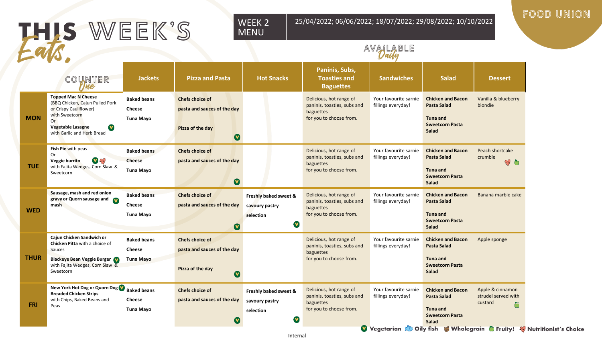# THIS WEEK'S

#### WEEK 2 MENU

25/04/2022; 06/06/2022; 18/07/2022; 29/08/2022; 10/10/2022

#### FOOD UNION

|           | <b>Jackets</b>                                                                                                                                                                                                                                                                                                                                                                                                                                                                                                                 | <b>Pizza and Pasta</b>                                                                             | <b>Hot Snacks</b>                                         | Paninis, Subs,<br><b>Toasties and</b><br><b>Baguettes</b>                                      | <b>Sandwiches</b>                           | <b>Salad</b>                                                                                                | <b>Dessert</b>                                          |
|-----------|--------------------------------------------------------------------------------------------------------------------------------------------------------------------------------------------------------------------------------------------------------------------------------------------------------------------------------------------------------------------------------------------------------------------------------------------------------------------------------------------------------------------------------|----------------------------------------------------------------------------------------------------|-----------------------------------------------------------|------------------------------------------------------------------------------------------------|---------------------------------------------|-------------------------------------------------------------------------------------------------------------|---------------------------------------------------------|
| V         | <b>Baked beans</b><br><b>Cheese</b><br><b>Tuna Mayo</b>                                                                                                                                                                                                                                                                                                                                                                                                                                                                        | <b>Chefs choice of</b><br>pasta and sauces of the day<br>Pizza of the day<br>$\boldsymbol{\Omega}$ |                                                           | Delicious, hot range of<br>paninis, toasties, subs and<br>baguettes<br>for you to choose from. | Your favourite sarnie<br>fillings everyday! | <b>Chicken and Bacon</b><br><b>Pasta Salad</b><br>Tuna and<br><b>Sweetcorn Pasta</b><br>Salad               | Vanilla & blueberry<br>blondie                          |
| $\bullet$ | <b>Baked beans</b><br><b>Cheese</b><br><b>Tuna Mayo</b>                                                                                                                                                                                                                                                                                                                                                                                                                                                                        | <b>Chefs choice of</b><br>pasta and sauces of the day<br>$\boldsymbol{\Omega}$                     |                                                           | Delicious, hot range of<br>paninis, toasties, subs and<br>baguettes<br>for you to choose from. | Your favourite sarnie<br>fillings everyday! | <b>Chicken and Bacon</b><br><b>Pasta Salad</b><br><b>Tuna and</b><br><b>Sweetcorn Pasta</b><br><b>Salad</b> | Peach shortcake<br>crumble<br>$\mathcal{P}$ 0           |
|           | <b>Baked beans</b><br>Cheese<br>Tuna Mayo                                                                                                                                                                                                                                                                                                                                                                                                                                                                                      | <b>Chefs choice of</b><br>pasta and sauces of the day<br>$\boldsymbol{0}$                          | Freshly baked sweet &<br>savoury pastry<br>selection<br>V | Delicious, hot range of<br>paninis, toasties, subs and<br>baguettes<br>for you to choose from. | Your favourite sarnie<br>fillings everyday! | <b>Chicken and Bacon</b><br><b>Pasta Salad</b><br>Tuna and<br><b>Sweetcorn Pasta</b><br>Salad               | Banana marble cake                                      |
|           | <b>Baked beans</b><br><b>Cheese</b><br><b>Tuna Mayo</b>                                                                                                                                                                                                                                                                                                                                                                                                                                                                        | <b>Chefs choice of</b><br>pasta and sauces of the day<br>Pizza of the day<br>$\boldsymbol{\Omega}$ |                                                           | Delicious, hot range of<br>paninis, toasties, subs and<br>baguettes<br>for you to choose from. | Your favourite sarnie<br>fillings everyday! | <b>Chicken and Bacon</b><br>Pasta Salad<br><b>Tuna and</b><br><b>Sweetcorn Pasta</b><br>Salad               | Apple sponge                                            |
|           | <b>Cheese</b><br><b>Tuna Mayo</b>                                                                                                                                                                                                                                                                                                                                                                                                                                                                                              | <b>Chefs choice of</b><br>pasta and sauces of the day                                              | Freshly baked sweet &<br>savoury pastry<br>selection      | Delicious, hot range of<br>paninis, toasties, subs and<br>baguettes<br>for you to choose from. | Your favourite sarnie<br>fillings everyday! | <b>Chicken and Bacon</b><br>Pasta Salad<br>Tuna and<br><b>Sweetcorn Pasta</b>                               | Apple & cinnamon<br>strudel served with<br>custard<br>Ŏ |
|           | COUNTER<br>The<br><b>Topped Mac N Cheese</b><br>(BBQ Chicken, Cajun Pulled Pork<br>or Crispy Cauliflower)<br>with Sweetcorn<br>Vegetable Lasagne<br>with Garlic and Herb Bread<br>Fish Pie with peas<br>Veggie burrito<br>with Fajita Wedges, Corn Slaw &<br>Sausage, mash and red onion<br>gravy or Quorn sausage and<br>Cajun Chicken Sandwich or<br>Chicken Pitta with a choice of<br><b>Blackeye Bean Veggie Burger</b><br>with Fajita Wedges, Corn Slaw &<br><b>Breaded Chicken Strips</b><br>with Chips, Baked Beans and | New York Hot Dog or Quorn Dog V Baked beans                                                        |                                                           |                                                                                                |                                             |                                                                                                             | AVALABLE                                                |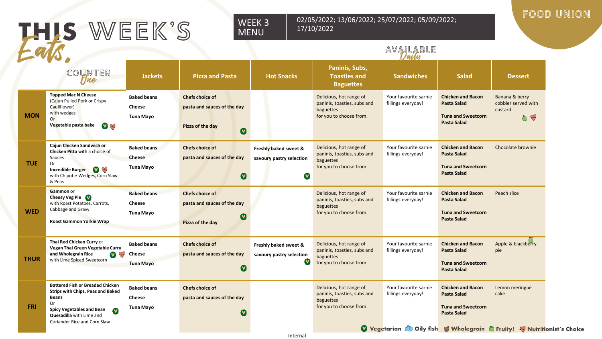| THIS WEEK'S |                                                                                                                                                                                                                                        | FOOD UNION                                              |                                                                                                    |                                                        |                                                                                                |                                                                                                                      |                                                                                                   |                                                         |  |
|-------------|----------------------------------------------------------------------------------------------------------------------------------------------------------------------------------------------------------------------------------------|---------------------------------------------------------|----------------------------------------------------------------------------------------------------|--------------------------------------------------------|------------------------------------------------------------------------------------------------|----------------------------------------------------------------------------------------------------------------------|---------------------------------------------------------------------------------------------------|---------------------------------------------------------|--|
|             | COUNTER<br>Une                                                                                                                                                                                                                         | <b>Jackets</b>                                          | <b>Pizza and Pasta</b>                                                                             | <b>Hot Snacks</b>                                      | Paninis, Subs,<br><b>Toasties and</b><br><b>Baguettes</b>                                      | AVAILABLE<br><b>Sandwiches</b>                                                                                       | <b>Salad</b>                                                                                      | <b>Dessert</b>                                          |  |
| <b>MON</b>  | <b>Topped Mac N Cheese</b><br>(Cajun Pulled Pork or Crispy<br>Cauliflower)<br>with wedges<br>0r<br>Vegetable pasta bake<br>V                                                                                                           | <b>Baked beans</b><br><b>Cheese</b><br>Tuna Mayo        | <b>Chefs choice of</b><br>pasta and sauces of the day<br>Pizza of the day<br>$\boldsymbol{\Omega}$ |                                                        | Delicious, hot range of<br>paninis, toasties, subs and<br>baguettes<br>for you to choose from. | Your favourite sarnie<br>fillings everyday!                                                                          | <b>Chicken and Bacon</b><br><b>Pasta Salad</b><br><b>Tuna and Sweetcorn</b><br><b>Pasta Salad</b> | Banana & berry<br>cobbler served with<br>custard<br>ේ ස |  |
| <b>TUE</b>  | Cajun Chicken Sandwich or<br>Chicken Pitta with a choice of<br>Sauces<br>0r<br><b>Incredible Burger V</b><br>with Chipotle Wedges, Corn Slaw<br>& Peas                                                                                 | <b>Baked beans</b><br><b>Cheese</b><br>Tuna Mayo        | <b>Chefs choice of</b><br>pasta and sauces of the day<br>$\bullet$                                 | Freshly baked sweet &<br>savoury pastry selection<br>V | Delicious, hot range of<br>paninis, toasties, subs and<br>baguettes<br>for you to choose from. | Your favourite sarnie<br>fillings everyday!                                                                          | <b>Chicken and Bacon</b><br><b>Pasta Salad</b><br><b>Tuna and Sweetcorn</b><br><b>Pasta Salad</b> | Chocolate brownie                                       |  |
| <b>WED</b>  | <b>Gammon</b> or<br><b>Cheesy Veg Pie</b><br>with Roast Potatoes, Carrots,<br>Cabbage and Gravy<br><b>Roast Gammon Yorkie Wrap</b>                                                                                                     | <b>Baked beans</b><br><b>Cheese</b><br>Tuna Mayo        | <b>Chefs choice of</b><br>pasta and sauces of the day<br>$\boldsymbol{\Omega}$<br>Pizza of the day |                                                        | Delicious, hot range of<br>paninis, toasties, subs and<br>baguettes<br>for you to choose from. | Your favourite sarnie<br>fillings everyday!                                                                          | <b>Chicken and Bacon</b><br><b>Pasta Salad</b><br><b>Tuna and Sweetcorn</b><br><b>Pasta Salad</b> | Peach slice                                             |  |
| <b>THUR</b> | Thai Red Chicken Curry or<br>Vegan Thai Green Vegetable Curry<br><b>V</b><br>and Wholegrain Rice<br>with Lime Spiced Sweetcorn                                                                                                         | <b>Baked beans</b><br>Cheese<br><b>Tuna Mayo</b>        | <b>Chefs choice of</b><br>pasta and sauces of the day<br>$\boldsymbol{\Omega}$                     | Freshly baked sweet &<br>savoury pastry selection<br>V | Delicious, hot range of<br>paninis, toasties, subs and<br>baguettes<br>for you to choose from. | Your favourite sarnie<br>fillings everyday!                                                                          | <b>Chicken and Bacon</b><br><b>Pasta Salad</b><br><b>Tuna and Sweetcorn</b><br><b>Pasta Salad</b> | Apple & blackberry<br>pie                               |  |
| <b>FRI</b>  | <b>Battered Fish or Breaded Chicken</b><br><b>Strips with Chips, Peas and Baked</b><br><b>Beans</b><br><b>Or</b><br><b>Spicy Vegetables and Bean</b><br>$\mathbf v$<br><b>Quesadilla</b> with Lime and<br>Coriander Rice and Corn Slaw | <b>Baked beans</b><br><b>Cheese</b><br><b>Tuna Mayo</b> | <b>Chefs choice of</b><br>pasta and sauces of the day<br>$\boldsymbol{\Omega}$                     |                                                        | Delicious, hot range of<br>paninis, toasties, subs and<br>baguettes<br>for you to choose from. | Your favourite sarnie<br>fillings everyday!<br>Vegetarian & Oily fish & Wholegrain & Fruity! W Nutritionist's Choice | <b>Chicken and Bacon</b><br><b>Pasta Salad</b><br><b>Tuna and Sweetcorn</b><br><b>Pasta Salad</b> | Lemon meringue<br>cake                                  |  |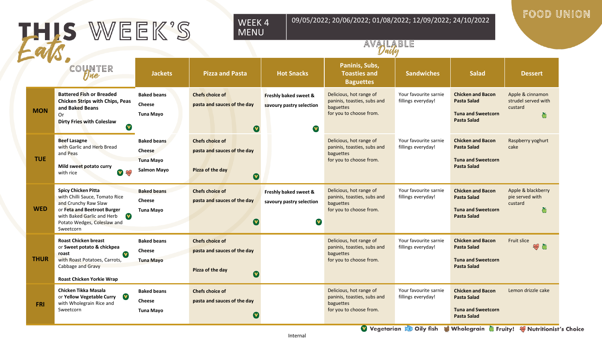|             | THIS WEEK'S                                                                                                                                                                                                | 09/05/2022; 20/06/2022; 01/08/2022; 12/09/2022; 24/10/2022<br>WEEK4<br><b>MENU</b><br>AVALABLE |                                                                                                    |                                                        |                                                                                                |                                             |                                                                                                   | FOOD UNION                                              |  |
|-------------|------------------------------------------------------------------------------------------------------------------------------------------------------------------------------------------------------------|------------------------------------------------------------------------------------------------|----------------------------------------------------------------------------------------------------|--------------------------------------------------------|------------------------------------------------------------------------------------------------|---------------------------------------------|---------------------------------------------------------------------------------------------------|---------------------------------------------------------|--|
|             | COUNTER<br>$\mathcal{V}$ ne                                                                                                                                                                                | <b>Jackets</b>                                                                                 | <b>Pizza and Pasta</b>                                                                             | <b>Hot Snacks</b>                                      | Paninis, Subs,<br><b>Toasties and</b><br><b>Baguettes</b>                                      | <b>Sandwiches</b>                           | <b>Salad</b>                                                                                      | <b>Dessert</b>                                          |  |
| <b>MON</b>  | <b>Battered Fish or Breaded</b><br>Chicken Strips with Chips, Peas<br>and Baked Beans<br>0r<br><b>Dirty Fries with Coleslaw</b><br>$\mathbf v$                                                             | <b>Baked beans</b><br>Cheese<br>Tuna Mayo                                                      | <b>Chefs choice of</b><br>pasta and sauces of the day<br>$\bullet$                                 | Freshly baked sweet &<br>savoury pastry selection<br>V | Delicious, hot range of<br>paninis, toasties, subs and<br>baguettes<br>for you to choose from. | Your favourite sarnie<br>fillings everyday! | <b>Chicken and Bacon</b><br><b>Pasta Salad</b><br><b>Tuna and Sweetcorn</b><br><b>Pasta Salad</b> | Apple & cinnamon<br>strudel served with<br>custard<br>Ŏ |  |
| <b>TUE</b>  | <b>Beef Lasagne</b><br>with Garlic and Herb Bread<br>and Peas<br>Mild sweet potato curry<br>V W<br>with rice                                                                                               | <b>Baked beans</b><br><b>Cheese</b><br><b>Tuna Mayo</b><br><b>Salmon Mayo</b>                  | <b>Chefs choice of</b><br>pasta and sauces of the day<br>Pizza of the day<br>$\boldsymbol{\Omega}$ |                                                        | Delicious, hot range of<br>paninis, toasties, subs and<br>baguettes<br>for you to choose from. | Your favourite sarnie<br>fillings everyday! | <b>Chicken and Bacon</b><br><b>Pasta Salad</b><br><b>Tuna and Sweetcorn</b><br><b>Pasta Salad</b> | Raspberry yoghurt<br>cake                               |  |
| <b>WED</b>  | <b>Spicy Chicken Pitta</b><br>with Chilli Sauce, Tomato Rice<br>and Crunchy Raw Slaw<br>or Feta and Beetroot Burger<br>$\bullet$<br>with Baked Garlic and Herb<br>Potato Wedges, Coleslaw and<br>Sweetcorn | <b>Baked beans</b><br><b>Cheese</b><br>Tuna Mayo                                               | <b>Chefs choice of</b><br>pasta and sauces of the day<br>$\boldsymbol{\Omega}$                     | Freshly baked sweet &<br>savoury pastry selection<br>V | Delicious, hot range of<br>paninis, toasties, subs and<br>baguettes<br>for you to choose from. | Your favourite sarnie<br>fillings everyday! | <b>Chicken and Bacon</b><br><b>Pasta Salad</b><br><b>Tuna and Sweetcorn</b><br><b>Pasta Salad</b> | Apple & blackberry<br>pie served with<br>custard<br>Õ   |  |
| <b>THUR</b> | <b>Roast Chicken breast</b><br>or Sweet potato & chickpea<br>roast<br>$\mathbf v$<br>with Roast Potatoes, Carrots,<br>Cabbage and Gravy<br><b>Roast Chicken Yorkie Wrap</b>                                | <b>Baked beans</b><br><b>Cheese</b><br><b>Tuna Mayo</b>                                        | <b>Chefs choice of</b><br>pasta and sauces of the day<br>Pizza of the day<br>$\mathbf v$           |                                                        | Delicious, hot range of<br>paninis, toasties, subs and<br>baguettes<br>for you to choose from. | Your favourite sarnie<br>fillings everyday! | <b>Chicken and Bacon</b><br><b>Pasta Salad</b><br><b>Tuna and Sweetcorn</b><br><b>Pasta Salad</b> | Fruit slice<br>5                                        |  |
| <b>FRI</b>  | Chicken Tikka Masala<br>$\mathbf v$<br>or Yellow Vegetable Curry<br>with Wholegrain Rice and<br>Sweetcorn                                                                                                  | <b>Baked beans</b><br><b>Cheese</b><br>Tuna Mayo                                               | <b>Chefs choice of</b><br>pasta and sauces of the day<br>(V                                        |                                                        | Delicious, hot range of<br>paninis, toasties, subs and<br>baguettes<br>for you to choose from. | Your favourite sarnie<br>fillings everyday! | <b>Chicken and Bacon</b><br><b>Pasta Salad</b><br><b>Tuna and Sweetcorn</b><br><b>Pasta Salad</b> | Lemon drizzle cake                                      |  |

Vegetarian & Oily fish & Wholegrain Truity! Whutritionist's Choice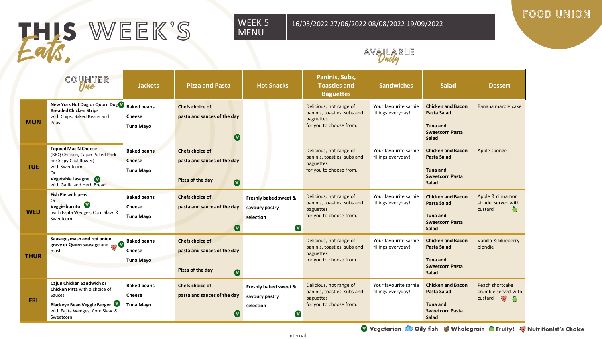# THIS WEEK'S

#### WEEK 5 MENU

16/05/2022 27/06/2022 08/08/2022 19/09/2022

#### FOOD UNION

### AVAILABLE

|             | COUNTER<br>Tne                                                                                                                                                     | <b>Jackets</b>                                          | <b>Pizza and Pasta</b>                                                                             | <b>Hot Snacks</b>                                                   | Paninis, Subs,<br><b>Toasties and</b><br><b>Baguettes</b>                                      | <b>Sandwiches</b>                           | <b>Salad</b>                                                                                         | <b>Dessert</b>                                                    |
|-------------|--------------------------------------------------------------------------------------------------------------------------------------------------------------------|---------------------------------------------------------|----------------------------------------------------------------------------------------------------|---------------------------------------------------------------------|------------------------------------------------------------------------------------------------|---------------------------------------------|------------------------------------------------------------------------------------------------------|-------------------------------------------------------------------|
| <b>MON</b>  | New York Hot Dog or Quorn Dog<br><b>Breaded Chicken Strips</b><br>with Chips, Baked Beans and<br>Peas                                                              | <b>Baked beans</b><br><b>Cheese</b><br>Tuna Mayo        | <b>Chefs choice of</b><br>pasta and sauces of the day                                              |                                                                     | Delicious, hot range of<br>paninis, toasties, subs and<br>baguettes<br>for you to choose from. | Your favourite sarnie<br>fillings everyday! | <b>Chicken and Bacon</b><br>Pasta Salad<br>Tuna and<br><b>Sweetcorn Pasta</b><br>Salad               | Banana marble cake                                                |
| <b>TUE</b>  | <b>Topped Mac N Cheese</b><br>(BBQ Chicken, Cajun Pulled Pork<br>or Crispy Cauliflower)<br>with Sweetcorn<br>Or<br>Vegetable Lasagne<br>with Garlic and Herb Bread | <b>Baked beans</b><br><b>Cheese</b><br>Tuna Mayo        | <b>Chefs choice of</b><br>pasta and sauces of the day<br>Pizza of the day<br>$\boldsymbol{\Omega}$ |                                                                     | Delicious, hot range of<br>paninis, toasties, subs and<br>baguettes<br>for you to choose from. | Your favourite sarnie<br>fillings everyday! | <b>Chicken and Bacon</b><br><b>Pasta Salad</b><br>Tuna and<br><b>Sweetcorn Pasta</b><br>Salad        | Apple sponge                                                      |
| <b>WED</b>  | Fish Pie with peas<br>Or.<br>Veggie burrito<br>with Fajita Wedges, Corn Slaw &<br>Sweetcorn                                                                        | <b>Baked beans</b><br>Cheese<br><b>Tuna Mayo</b>        | <b>Chefs choice of</b><br>pasta and sauces of the day<br>$\boldsymbol{\nabla}$                     | Freshly baked sweet &<br>savoury pastry<br>selection<br>V           | Delicious, hot range of<br>paninis, toasties, subs and<br>baguettes<br>for you to choose from. | Your favourite sarnie<br>fillings everyday! | <b>Chicken and Bacon</b><br><b>Pasta Salad</b><br><b>Tuna and</b><br><b>Sweetcorn Pasta</b><br>Salad | Apple & cinnamon<br>strudel served with<br>custard                |
| <b>THUR</b> | Sausage, mash and red onion<br>gravy or Quorn sausage and <b>and</b><br>mash                                                                                       | <b>Baked beans</b><br><b>Cheese</b><br><b>Tuna Mayo</b> | <b>Chefs choice of</b><br>pasta and sauces of the day<br>Pizza of the day<br>$\boldsymbol{\Omega}$ |                                                                     | Delicious, hot range of<br>paninis, toasties, subs and<br>baguettes<br>for you to choose from. | Your favourite sarnie<br>fillings everyday! | <b>Chicken and Bacon</b><br><b>Pasta Salad</b><br><b>Tuna and</b><br><b>Sweetcorn Pasta</b><br>Salad | Vanilla & blueberry<br>blondie                                    |
| <b>FRI</b>  | Cajun Chicken Sandwich or<br>Chicken Pitta with a choice of<br>Sauces<br><b>Blackeye Bean Veggie Burger</b><br>with Fajita Wedges, Corn Slaw &<br>Sweetcorn        | <b>Baked beans</b><br><b>Cheese</b><br><b>Tuna Mayo</b> | <b>Chefs choice of</b><br>pasta and sauces of the day                                              | Freshly baked sweet &<br>savoury pastry<br>selection<br>$\mathbf v$ | Delicious, hot range of<br>paninis, toasties, subs and<br>baguettes<br>for you to choose from. | Your favourite sarnie<br>fillings everyday! | <b>Chicken and Bacon</b><br><b>Pasta Salad</b><br>Tuna and<br><b>Sweetcorn Pasta</b><br>Salad        | Peach shortcake<br>crumble served with<br>$\mathbb{R}$<br>custard |

Vegetarian & Oily fish & Wholegrain G Fruity! Whutritionist's Choice